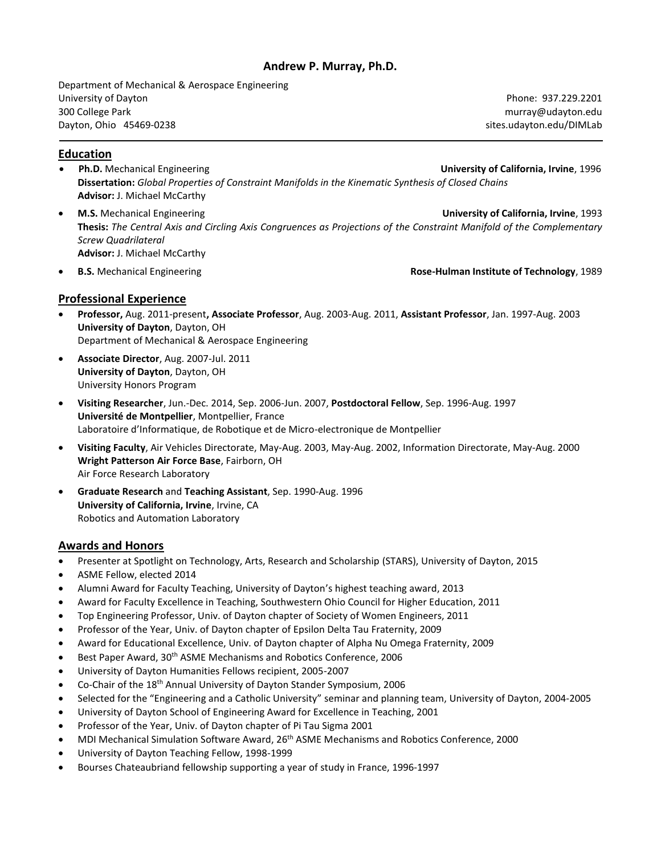#### **Andrew P. Murray, Ph.D.**

Department of Mechanical & Aerospace Engineering University of Dayton Phone: 937.229.2201 300 College Park murray@udayton.edu Dayton, Ohio 45469-0238 sites.udayton.edu/DIMLab

### **Education**

- **Ph.D.** Mechanical Engineering **University of California, Irvine**, 1996 **Dissertation:** *Global Properties of Constraint Manifolds in the Kinematic Synthesis of Closed Chains* **Advisor:** J. Michael McCarthy
- **M.S.** Mechanical Engineering **University of California, Irvine**, 1993 **Thesis:** *The Central Axis and Circling Axis Congruences as Projections of the Constraint Manifold of the Complementary Screw Quadrilateral* **Advisor:** J. Michael McCarthy
- 

• **B.S.** Mechanical Engineering **Rose-Hulman Institute of Technology**, 1989

### **Professional Experience**

- **Professor,** Aug. 2011-present**, Associate Professor**, Aug. 2003-Aug. 2011, **Assistant Professor**, Jan. 1997-Aug. 2003 **University of Dayton**, Dayton, OH Department of Mechanical & Aerospace Engineering
- **Associate Director**, Aug. 2007-Jul. 2011 **University of Dayton**, Dayton, OH University Honors Program
- **Visiting Researcher**, Jun.-Dec. 2014, Sep. 2006-Jun. 2007, **Postdoctoral Fellow**, Sep. 1996-Aug. 1997 **Université de Montpellier**, Montpellier, France Laboratoire d'Informatique, de Robotique et de Micro-electronique de Montpellier
- **Visiting Faculty**, Air Vehicles Directorate, May-Aug. 2003, May-Aug. 2002, Information Directorate, May-Aug. 2000 **Wright Patterson Air Force Base**, Fairborn, OH Air Force Research Laboratory
- **Graduate Research** and **Teaching Assistant**, Sep. 1990-Aug. 1996 **University of California, Irvine**, Irvine, CA Robotics and Automation Laboratory

### **Awards and Honors**

- Presenter at Spotlight on Technology, Arts, Research and Scholarship (STARS), University of Dayton, 2015
- ASME Fellow, elected 2014
- Alumni Award for Faculty Teaching, University of Dayton's highest teaching award, 2013
- Award for Faculty Excellence in Teaching, Southwestern Ohio Council for Higher Education, 2011
- Top Engineering Professor, Univ. of Dayton chapter of Society of Women Engineers, 2011
- Professor of the Year, Univ. of Dayton chapter of Epsilon Delta Tau Fraternity, 2009
- Award for Educational Excellence, Univ. of Dayton chapter of Alpha Nu Omega Fraternity, 2009
- Best Paper Award, 30<sup>th</sup> ASME Mechanisms and Robotics Conference, 2006
- University of Dayton Humanities Fellows recipient, 2005-2007
- Co-Chair of the 18th Annual University of Dayton Stander Symposium, 2006
- Selected for the "Engineering and a Catholic University" seminar and planning team, University of Dayton, 2004-2005
- University of Dayton School of Engineering Award for Excellence in Teaching, 2001
- Professor of the Year, Univ. of Dayton chapter of Pi Tau Sigma 2001
- MDI Mechanical Simulation Software Award, 26th ASME Mechanisms and Robotics Conference, 2000
- University of Dayton Teaching Fellow, 1998-1999
- Bourses Chateaubriand fellowship supporting a year of study in France, 1996-1997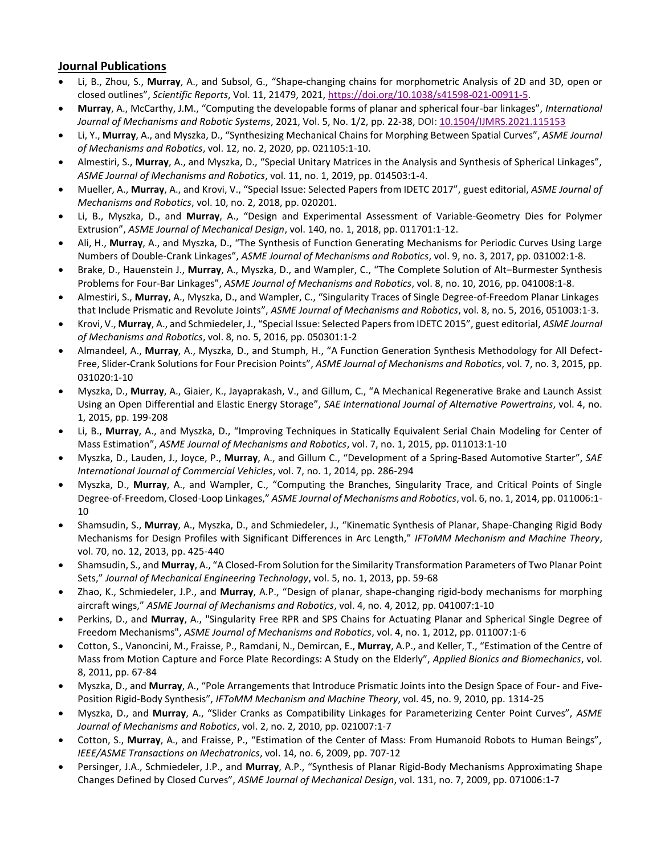### **Journal Publications**

- Li, B., Zhou, S., **Murray**, A., and Subsol, G., "Shape-changing chains for morphometric Analysis of 2D and 3D, open or closed outlines", *Scientific Reports*, Vol. 11, 21479, 2021, [https://doi.org/10.1038/s41598-021-00911-5.](https://doi.org/10.1038/s41598-021-00911-5)
- **Murray**, A., McCarthy, J.M., "Computing the developable forms of planar and spherical four-bar linkages", *International Journal of Mechanisms and Robotic Systems*, 2021, Vol. 5, No. 1/2, pp. 22-38, DOI: [10.1504/IJMRS.2021.115153](https://dx.doi.org/10.1504/IJMRS.2021.115153)
- Li, Y., **Murray**, A., and Myszka, D., "Synthesizing Mechanical Chains for Morphing Between Spatial Curves", *ASME Journal of Mechanisms and Robotics*, vol. 12, no. 2, 2020, pp. 021105:1-10.
- Almestiri, S., **Murray**, A., and Myszka, D., "Special Unitary Matrices in the Analysis and Synthesis of Spherical Linkages", *ASME Journal of Mechanisms and Robotics*, vol. 11, no. 1, 2019, pp. 014503:1-4.
- Mueller, A., **Murray**, A., and Krovi, V., "Special Issue: Selected Papers from IDETC 2017", guest editorial, *ASME Journal of Mechanisms and Robotics*, vol. 10, no. 2, 2018, pp. 020201.
- Li, B., Myszka, D., and **Murray**, A., "Design and Experimental Assessment of Variable-Geometry Dies for Polymer Extrusion", *ASME Journal of Mechanical Design*, vol. 140, no. 1, 2018, pp. 011701:1-12.
- Ali, H., **Murray**, A., and Myszka, D., "The Synthesis of Function Generating Mechanisms for Periodic Curves Using Large Numbers of Double-Crank Linkages", *ASME Journal of Mechanisms and Robotics*, vol. 9, no. 3, 2017, pp. 031002:1-8.
- Brake, D., Hauenstein J., **Murray**, A., Myszka, D., and Wampler, C., "The Complete Solution of Alt–Burmester Synthesis Problems for Four-Bar Linkages", *ASME Journal of Mechanisms and Robotics*, vol. 8, no. 10, 2016, pp. 041008:1-8.
- Almestiri, S., **Murray**, A., Myszka, D., and Wampler, C., "Singularity Traces of Single Degree-of-Freedom Planar Linkages that Include Prismatic and Revolute Joints", *ASME Journal of Mechanisms and Robotics*, vol. 8, no. 5, 2016, 051003:1-3.
- Krovi, V., **Murray**, A., and Schmiedeler, J., "Special Issue: Selected Papers from IDETC 2015", guest editorial, *ASME Journal of Mechanisms and Robotics*, vol. 8, no. 5, 2016, pp. 050301:1-2
- Almandeel, A., **Murray**, A., Myszka, D., and Stumph, H., "A Function Generation Synthesis Methodology for All Defect-Free, Slider-Crank Solutions for Four Precision Points", *ASME Journal of Mechanisms and Robotics*, vol. 7, no. 3, 2015, pp. 031020:1-10
- Myszka, D., **Murray**, A., Giaier, K., Jayaprakash, V., and Gillum, C., "A Mechanical Regenerative Brake and Launch Assist Using an Open Differential and Elastic Energy Storage", *SAE International Journal of Alternative Powertrains*, vol. 4, no. 1, 2015, pp. 199-208
- Li, B., **Murray**, A., and Myszka, D., "Improving Techniques in Statically Equivalent Serial Chain Modeling for Center of Mass Estimation", *ASME Journal of Mechanisms and Robotics*, vol. 7, no. 1, 2015, pp. 011013:1-10
- Myszka, D., Lauden, J., Joyce, P., **Murray**, A., and Gillum C., "Development of a Spring-Based Automotive Starter", *SAE International Journal of Commercial Vehicles*, vol. 7, no. 1, 2014, pp. 286-294
- Myszka, D., **Murray**, A., and Wampler, C., "Computing the Branches, Singularity Trace, and Critical Points of Single Degree-of-Freedom, Closed-Loop Linkages," *ASME Journal of Mechanisms and Robotics*, vol. 6, no. 1, 2014, pp. 011006:1- 10
- Shamsudin, S., **Murray**, A., Myszka, D., and Schmiedeler, J., "Kinematic Synthesis of Planar, Shape-Changing Rigid Body Mechanisms for Design Profiles with Significant Differences in Arc Length," *IFToMM Mechanism and Machine Theory*, vol. 70, no. 12, 2013, pp. 425-440
- Shamsudin, S., and **Murray**, A., "A Closed-From Solution for the Similarity Transformation Parameters of Two Planar Point Sets," *Journal of Mechanical Engineering Technology*, vol. 5, no. 1, 2013, pp. 59-68
- Zhao, K., Schmiedeler, J.P., and **Murray**, A.P., "Design of planar, shape-changing rigid-body mechanisms for morphing aircraft wings," *ASME Journal of Mechanisms and Robotics*, vol. 4, no. 4, 2012, pp. 041007:1-10
- Perkins, D., and **Murray**, A., "Singularity Free RPR and SPS Chains for Actuating Planar and Spherical Single Degree of Freedom Mechanisms", *ASME Journal of Mechanisms and Robotics*, vol. 4, no. 1, 2012, pp. 011007:1-6
- Cotton, S., Vanoncini, M., Fraisse, P., Ramdani, N., Demircan, E., **Murray**, A.P., and Keller, T., "Estimation of the Centre of Mass from Motion Capture and Force Plate Recordings: A Study on the Elderly", *Applied Bionics and Biomechanics*, vol. 8, 2011, pp. 67-84
- Myszka, D., and **Murray**, A., "Pole Arrangements that Introduce Prismatic Joints into the Design Space of Four- and Five-Position Rigid-Body Synthesis", *IFToMM Mechanism and Machine Theory*, vol. 45, no. 9, 2010, pp. 1314-25
- Myszka, D., and **Murray**, A., "Slider Cranks as Compatibility Linkages for Parameterizing Center Point Curves", *ASME Journal of Mechanisms and Robotics*, vol. 2, no. 2, 2010, pp. 021007:1-7
- Cotton, S., **Murray**, A., and Fraisse, P., "Estimation of the Center of Mass: From Humanoid Robots to Human Beings", *IEEE/ASME Transactions on Mechatronics*, vol. 14, no. 6, 2009, pp. 707-12
- Persinger, J.A., Schmiedeler, J.P., and **Murray**, A.P., "Synthesis of Planar Rigid-Body Mechanisms Approximating Shape Changes Defined by Closed Curves", *ASME Journal of Mechanical Design*, vol. 131, no. 7, 2009, pp. 071006:1-7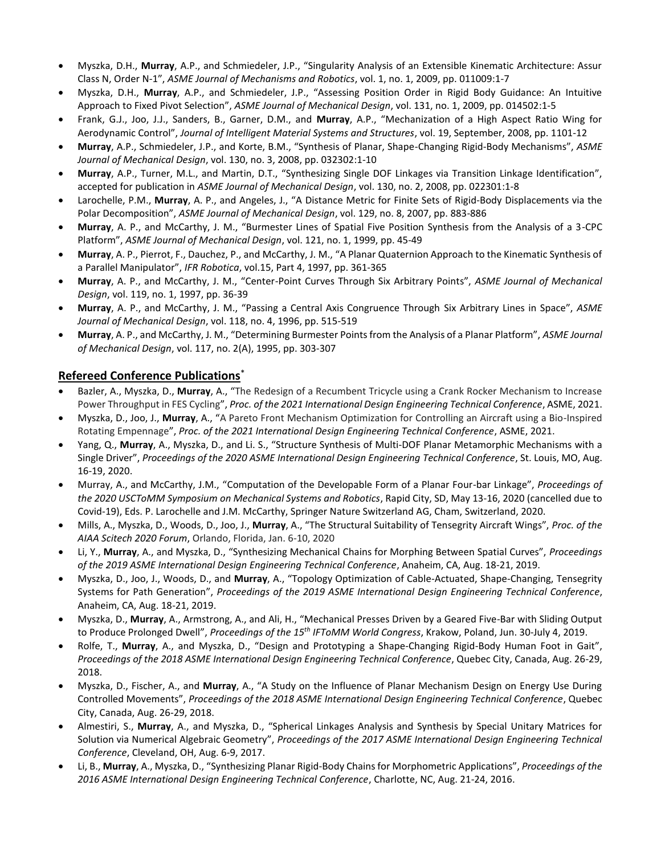- Myszka, D.H., **Murray**, A.P., and Schmiedeler, J.P., "Singularity Analysis of an Extensible Kinematic Architecture: Assur Class N, Order N-1", *ASME Journal of Mechanisms and Robotics*, vol. 1, no. 1, 2009, pp. 011009:1-7
- Myszka, D.H., **Murray**, A.P., and Schmiedeler, J.P., "Assessing Position Order in Rigid Body Guidance: An Intuitive Approach to Fixed Pivot Selection", *ASME Journal of Mechanical Design*, vol. 131, no. 1, 2009, pp. 014502:1-5
- Frank, G.J., Joo, J.J., Sanders, B., Garner, D.M., and **Murray**, A.P., "Mechanization of a High Aspect Ratio Wing for Aerodynamic Control", *Journal of Intelligent Material Systems and Structures*, vol. 19, September, 2008, pp. 1101-12
- **Murray**, A.P., Schmiedeler, J.P., and Korte, B.M., "Synthesis of Planar, Shape-Changing Rigid-Body Mechanisms", *ASME Journal of Mechanical Design*, vol. 130, no. 3, 2008, pp. 032302:1-10
- **Murray**, A.P., Turner, M.L., and Martin, D.T., "Synthesizing Single DOF Linkages via Transition Linkage Identification", accepted for publication in *ASME Journal of Mechanical Design*, vol. 130, no. 2, 2008, pp. 022301:1-8
- Larochelle, P.M., **Murray**, A. P., and Angeles, J., "A Distance Metric for Finite Sets of Rigid-Body Displacements via the Polar Decomposition", *ASME Journal of Mechanical Design*, vol. 129, no. 8, 2007, pp. 883-886
- **Murray**, A. P., and McCarthy, J. M., "Burmester Lines of Spatial Five Position Synthesis from the Analysis of a 3-CPC Platform", *ASME Journal of Mechanical Design*, vol. 121, no. 1, 1999, pp. 45-49
- **Murray**, A. P., Pierrot, F., Dauchez, P., and McCarthy, J. M., "A Planar Quaternion Approach to the Kinematic Synthesis of a Parallel Manipulator", *IFR Robotica*, vol.15, Part 4, 1997, pp. 361-365
- **Murray**, A. P., and McCarthy, J. M., "Center-Point Curves Through Six Arbitrary Points", *ASME Journal of Mechanical Design*, vol. 119, no. 1, 1997, pp. 36-39
- **Murray**, A. P., and McCarthy, J. M., "Passing a Central Axis Congruence Through Six Arbitrary Lines in Space", *ASME Journal of Mechanical Design*, vol. 118, no. 4, 1996, pp. 515-519
- **Murray**, A. P., and McCarthy, J. M., "Determining Burmester Points from the Analysis of a Planar Platform", *ASME Journal of Mechanical Design*, vol. 117, no. 2(A), 1995, pp. 303-307

### **Refereed Conference Publications**\*

- Bazler, A., Myszka, D., **Murray**, A., "The Redesign of a Recumbent Tricycle using a Crank Rocker Mechanism to Increase Power Throughput in FES Cycling", *Proc. of the 2021 International Design Engineering Technical Conference*, ASME, 2021.
- Myszka, D., Joo, J., **Murray**, A., "A Pareto Front Mechanism Optimization for Controlling an Aircraft using a Bio-Inspired Rotating Empennage", *Proc. of the 2021 International Design Engineering Technical Conference*, ASME, 2021.
- Yang, Q., **Murray**, A., Myszka, D., and Li. S., "Structure Synthesis of Multi-DOF Planar Metamorphic Mechanisms with a Single Driver", *Proceedings of the 2020 ASME International Design Engineering Technical Conference*, St. Louis, MO, Aug. 16-19, 2020.
- Murray, A., and McCarthy, J.M., "Computation of the Developable Form of a Planar Four-bar Linkage", *Proceedings of the 2020 USCToMM Symposium on Mechanical Systems and Robotics*, Rapid City, SD, May 13-16, 2020 (cancelled due to Covid-19), Eds. P. Larochelle and J.M. McCarthy, Springer Nature Switzerland AG, Cham, Switzerland, 2020.
- Mills, A., Myszka, D., Woods, D., Joo, J., **Murray**, A., "The Structural Suitability of Tensegrity Aircraft Wings", *Proc. of the AIAA Scitech 2020 Forum*, Orlando, Florida, Jan. 6-10, 2020
- Li, Y., **Murray**, A., and Myszka, D., "Synthesizing Mechanical Chains for Morphing Between Spatial Curves", *Proceedings of the 2019 ASME International Design Engineering Technical Conference*, Anaheim, CA, Aug. 18-21, 2019.
- Myszka, D., Joo, J., Woods, D., and **Murray**, A., "Topology Optimization of Cable-Actuated, Shape-Changing, Tensegrity Systems for Path Generation", *Proceedings of the 2019 ASME International Design Engineering Technical Conference*, Anaheim, CA, Aug. 18-21, 2019.
- Myszka, D., **Murray**, A., Armstrong, A., and Ali, H., "Mechanical Presses Driven by a Geared Five-Bar with Sliding Output to Produce Prolonged Dwell", *Proceedings of the 15th IFToMM World Congress*, Krakow, Poland, Jun. 30-July 4, 2019.
- Rolfe, T., **Murray**, A., and Myszka, D., "Design and Prototyping a Shape-Changing Rigid-Body Human Foot in Gait", *Proceedings of the 2018 ASME International Design Engineering Technical Conference*, Quebec City, Canada, Aug. 26-29, 2018.
- Myszka, D., Fischer, A., and **Murray**, A., "A Study on the Influence of Planar Mechanism Design on Energy Use During Controlled Movements", *Proceedings of the 2018 ASME International Design Engineering Technical Conference*, Quebec City, Canada, Aug. 26-29, 2018.
- Almestiri, S., **Murray**, A., and Myszka, D., "Spherical Linkages Analysis and Synthesis by Special Unitary Matrices for Solution via Numerical Algebraic Geometry", *Proceedings of the 2017 ASME International Design Engineering Technical Conference*, Cleveland, OH, Aug. 6-9, 2017.
- Li, B., **Murray**, A., Myszka, D., "Synthesizing Planar Rigid-Body Chains for Morphometric Applications", *Proceedings of the 2016 ASME International Design Engineering Technical Conference*, Charlotte, NC, Aug. 21-24, 2016.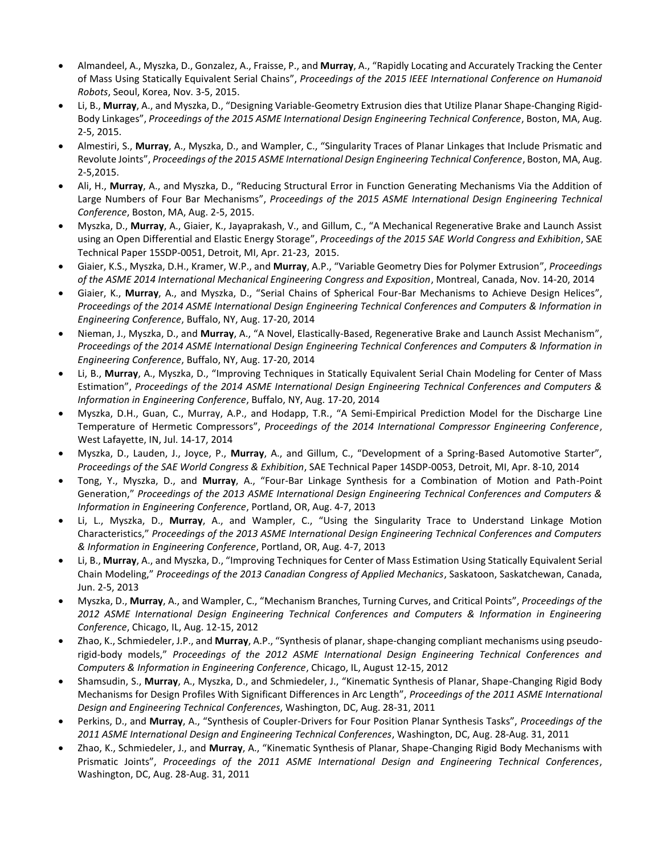- Almandeel, A., Myszka, D., Gonzalez, A., Fraisse, P., and **Murray**, A., "Rapidly Locating and Accurately Tracking the Center of Mass Using Statically Equivalent Serial Chains", *Proceedings of the 2015 IEEE International Conference on Humanoid Robots*, Seoul, Korea, Nov. 3-5, 2015.
- Li, B., **Murray**, A., and Myszka, D., "Designing Variable-Geometry Extrusion dies that Utilize Planar Shape-Changing Rigid-Body Linkages", *Proceedings of the 2015 ASME International Design Engineering Technical Conference*, Boston, MA, Aug. 2-5, 2015.
- Almestiri, S., **Murray**, A., Myszka, D., and Wampler, C., "Singularity Traces of Planar Linkages that Include Prismatic and Revolute Joints", *Proceedings of the 2015 ASME International Design Engineering Technical Conference*, Boston, MA, Aug. 2-5,2015.
- Ali, H., **Murray**, A., and Myszka, D., "Reducing Structural Error in Function Generating Mechanisms Via the Addition of Large Numbers of Four Bar Mechanisms", *Proceedings of the 2015 ASME International Design Engineering Technical Conference*, Boston, MA, Aug. 2-5, 2015.
- Myszka, D., **Murray**, A., Giaier, K., Jayaprakash, V., and Gillum, C., "A Mechanical Regenerative Brake and Launch Assist using an Open Differential and Elastic Energy Storage", *Proceedings of the 2015 SAE World Congress and Exhibition*, SAE Technical Paper 15SDP-0051, Detroit, MI, Apr. 21-23, 2015.
- Giaier, K.S., Myszka, D.H., Kramer, W.P., and **Murray**, A.P., "Variable Geometry Dies for Polymer Extrusion", *Proceedings of the ASME 2014 International Mechanical Engineering Congress and Exposition*, Montreal, Canada, Nov. 14-20, 2014
- Giaier, K., **Murray**, A., and Myszka, D., "Serial Chains of Spherical Four-Bar Mechanisms to Achieve Design Helices", *Proceedings of the 2014 ASME International Design Engineering Technical Conferences and Computers & Information in Engineering Conference*, Buffalo, NY, Aug. 17-20, 2014
- Nieman, J., Myszka, D., and **Murray**, A., "A Novel, Elastically-Based, Regenerative Brake and Launch Assist Mechanism", *Proceedings of the 2014 ASME International Design Engineering Technical Conferences and Computers & Information in Engineering Conference*, Buffalo, NY, Aug. 17-20, 2014
- Li, B., **Murray**, A., Myszka, D., "Improving Techniques in Statically Equivalent Serial Chain Modeling for Center of Mass Estimation", *Proceedings of the 2014 ASME International Design Engineering Technical Conferences and Computers & Information in Engineering Conference*, Buffalo, NY, Aug. 17-20, 2014
- Myszka, D.H., Guan, C., Murray, A.P., and Hodapp, T.R., "A Semi-Empirical Prediction Model for the Discharge Line Temperature of Hermetic Compressors", *Proceedings of the 2014 International Compressor Engineering Conference*, West Lafayette, IN, Jul. 14-17, 2014
- Myszka, D., Lauden, J., Joyce, P., **Murray**, A., and Gillum, C., "Development of a Spring-Based Automotive Starter", *Proceedings of the SAE World Congress & Exhibition*, SAE Technical Paper 14SDP-0053, Detroit, MI, Apr. 8-10, 2014
- Tong, Y., Myszka, D., and **Murray**, A., "Four-Bar Linkage Synthesis for a Combination of Motion and Path-Point Generation," *Proceedings of the 2013 ASME International Design Engineering Technical Conferences and Computers & Information in Engineering Conference*, Portland, OR, Aug. 4-7, 2013
- Li, L., Myszka, D., **Murray**, A., and Wampler, C., "Using the Singularity Trace to Understand Linkage Motion Characteristics," *Proceedings of the 2013 ASME International Design Engineering Technical Conferences and Computers & Information in Engineering Conference*, Portland, OR, Aug. 4-7, 2013
- Li, B., **Murray**, A., and Myszka, D., "Improving Techniques for Center of Mass Estimation Using Statically Equivalent Serial Chain Modeling," *Proceedings of the 2013 Canadian Congress of Applied Mechanics*, Saskatoon, Saskatchewan, Canada, Jun. 2-5, 2013
- Myszka, D., **Murray**, A., and Wampler, C., "Mechanism Branches, Turning Curves, and Critical Points", *Proceedings of the 2012 ASME International Design Engineering Technical Conferences and Computers & Information in Engineering Conference*, Chicago, IL, Aug. 12-15, 2012
- Zhao, K., Schmiedeler, J.P., and **Murray**, A.P., "Synthesis of planar, shape-changing compliant mechanisms using pseudorigid-body models," *Proceedings of the 2012 ASME International Design Engineering Technical Conferences and Computers & Information in Engineering Conference*, Chicago, IL, August 12-15, 2012
- Shamsudin, S., **Murray**, A., Myszka, D., and Schmiedeler, J., "Kinematic Synthesis of Planar, Shape-Changing Rigid Body Mechanisms for Design Profiles With Significant Differences in Arc Length", *Proceedings of the 2011 ASME International Design and Engineering Technical Conferences*, Washington, DC, Aug. 28-31, 2011
- Perkins, D., and **Murray**, A., "Synthesis of Coupler-Drivers for Four Position Planar Synthesis Tasks", *Proceedings of the 2011 ASME International Design and Engineering Technical Conferences*, Washington, DC, Aug. 28-Aug. 31, 2011
- Zhao, K., Schmiedeler, J., and **Murray**, A., "Kinematic Synthesis of Planar, Shape-Changing Rigid Body Mechanisms with Prismatic Joints", *Proceedings of the 2011 ASME International Design and Engineering Technical Conferences*, Washington, DC, Aug. 28-Aug. 31, 2011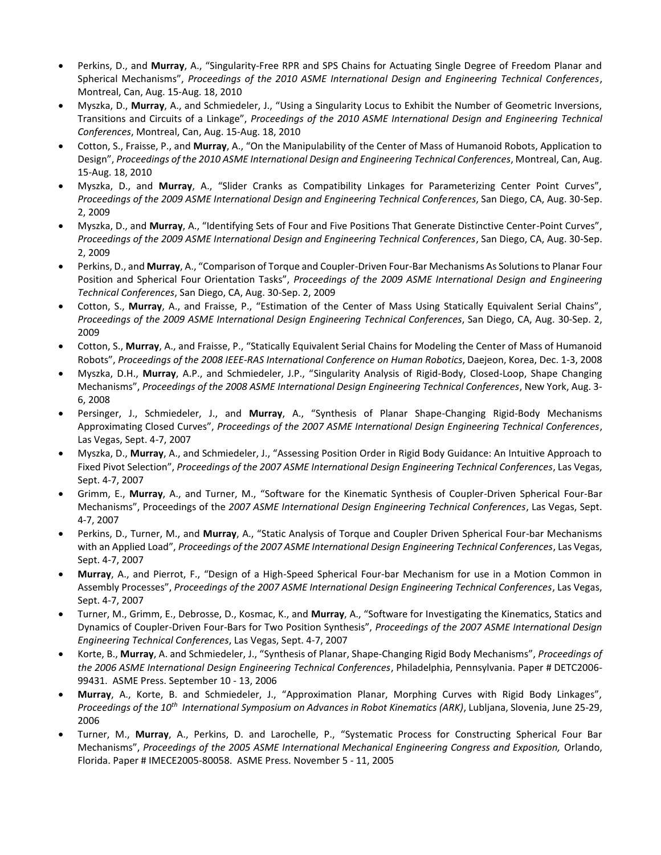- Perkins, D., and **Murray**, A., "Singularity-Free RPR and SPS Chains for Actuating Single Degree of Freedom Planar and Spherical Mechanisms", *Proceedings of the 2010 ASME International Design and Engineering Technical Conferences*, Montreal, Can, Aug. 15-Aug. 18, 2010
- Myszka, D., **Murray**, A., and Schmiedeler, J., "Using a Singularity Locus to Exhibit the Number of Geometric Inversions, Transitions and Circuits of a Linkage", *Proceedings of the 2010 ASME International Design and Engineering Technical Conferences*, Montreal, Can, Aug. 15-Aug. 18, 2010
- Cotton, S., Fraisse, P., and **Murray**, A., "On the Manipulability of the Center of Mass of Humanoid Robots, Application to Design", *Proceedings of the 2010 ASME International Design and Engineering Technical Conferences*, Montreal, Can, Aug. 15-Aug. 18, 2010
- Myszka, D., and **Murray**, A., "Slider Cranks as Compatibility Linkages for Parameterizing Center Point Curves", *Proceedings of the 2009 ASME International Design and Engineering Technical Conferences*, San Diego, CA, Aug. 30-Sep. 2, 2009
- Myszka, D., and **Murray**, A., "Identifying Sets of Four and Five Positions That Generate Distinctive Center-Point Curves", *Proceedings of the 2009 ASME International Design and Engineering Technical Conferences*, San Diego, CA, Aug. 30-Sep. 2, 2009
- Perkins, D., and **Murray**, A., "Comparison of Torque and Coupler-Driven Four-Bar Mechanisms As Solutions to Planar Four Position and Spherical Four Orientation Tasks", *Proceedings of the 2009 ASME International Design and Engineering Technical Conferences*, San Diego, CA, Aug. 30-Sep. 2, 2009
- Cotton, S., **Murray**, A., and Fraisse, P., "Estimation of the Center of Mass Using Statically Equivalent Serial Chains", *Proceedings of the 2009 ASME International Design Engineering Technical Conferences*, San Diego, CA, Aug. 30-Sep. 2, 2009
- Cotton, S., **Murray**, A., and Fraisse, P., "Statically Equivalent Serial Chains for Modeling the Center of Mass of Humanoid Robots", *Proceedings of the 2008 IEEE-RAS International Conference on Human Robotics*, Daejeon, Korea, Dec. 1-3, 2008
- Myszka, D.H., **Murray**, A.P., and Schmiedeler, J.P., "Singularity Analysis of Rigid-Body, Closed-Loop, Shape Changing Mechanisms", *Proceedings of the 2008 ASME International Design Engineering Technical Conferences*, New York, Aug. 3- 6, 2008
- Persinger, J., Schmiedeler, J., and **Murray**, A., "Synthesis of Planar Shape-Changing Rigid-Body Mechanisms Approximating Closed Curves", *Proceedings of the 2007 ASME International Design Engineering Technical Conferences*, Las Vegas, Sept. 4-7, 2007
- Myszka, D., **Murray**, A., and Schmiedeler, J., "Assessing Position Order in Rigid Body Guidance: An Intuitive Approach to Fixed Pivot Selection", *Proceedings of the 2007 ASME International Design Engineering Technical Conferences*, Las Vegas, Sept. 4-7, 2007
- Grimm, E., **Murray**, A., and Turner, M., "Software for the Kinematic Synthesis of Coupler-Driven Spherical Four-Bar Mechanisms", Proceedings of the *2007 ASME International Design Engineering Technical Conferences*, Las Vegas, Sept. 4-7, 2007
- Perkins, D., Turner, M., and **Murray**, A., "Static Analysis of Torque and Coupler Driven Spherical Four-bar Mechanisms with an Applied Load", *Proceedings of the 2007 ASME International Design Engineering Technical Conferences*, Las Vegas, Sept. 4-7, 2007
- **Murray**, A., and Pierrot, F., "Design of a High-Speed Spherical Four-bar Mechanism for use in a Motion Common in Assembly Processes", *Proceedings of the 2007 ASME International Design Engineering Technical Conferences*, Las Vegas, Sept. 4-7, 2007
- Turner, M., Grimm, E., Debrosse, D., Kosmac, K., and **Murray**, A., "Software for Investigating the Kinematics, Statics and Dynamics of Coupler-Driven Four-Bars for Two Position Synthesis", *Proceedings of the 2007 ASME International Design Engineering Technical Conferences*, Las Vegas, Sept. 4-7, 2007
- Korte, B., **Murray**, A. and Schmiedeler, J., "Synthesis of Planar, Shape-Changing Rigid Body Mechanisms", *Proceedings of the 2006 ASME International Design Engineering Technical Conferences*, Philadelphia, Pennsylvania. Paper # DETC2006- 99431. ASME Press. September 10 - 13, 2006
- **Murray**, A., Korte, B. and Schmiedeler, J., "Approximation Planar, Morphing Curves with Rigid Body Linkages", *Proceedings of the 10th International Symposium on Advances in Robot Kinematics (ARK)*, Lubljana, Slovenia, June 25-29, 2006
- Turner, M., **Murray**, A., Perkins, D. and Larochelle, P., "Systematic Process for Constructing Spherical Four Bar Mechanisms", *Proceedings of the 2005 ASME International Mechanical Engineering Congress and Exposition,* Orlando, Florida. Paper # IMECE2005-80058. ASME Press. November 5 - 11, 2005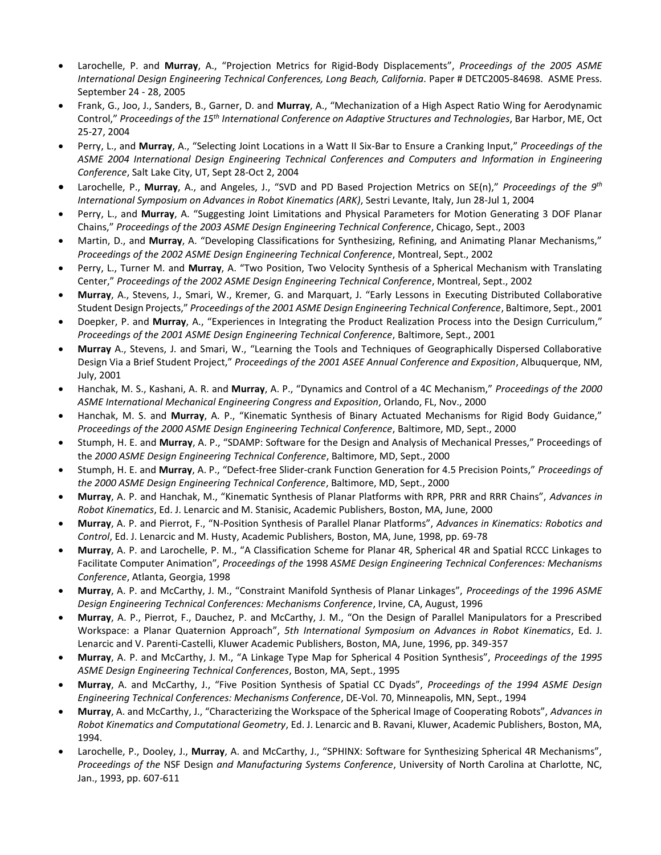- Larochelle, P. and **Murray**, A., "Projection Metrics for Rigid-Body Displacements", *Proceedings of the 2005 ASME International Design Engineering Technical Conferences, Long Beach, California.* Paper # DETC2005-84698. ASME Press. September 24 - 28, 2005
- Frank, G., Joo, J., Sanders, B., Garner, D. and **Murray**, A., "Mechanization of a High Aspect Ratio Wing for Aerodynamic Control," *Proceedings of the 15th International Conference on Adaptive Structures and Technologies*, Bar Harbor, ME, Oct 25-27, 2004
- Perry, L., and **Murray**, A., "Selecting Joint Locations in a Watt II Six-Bar to Ensure a Cranking Input," *Proceedings of the ASME 2004 International Design Engineering Technical Conferences and Computers and Information in Engineering Conference*, Salt Lake City, UT, Sept 28-Oct 2, 2004
- Larochelle, P., **Murray**, A., and Angeles, J., "SVD and PD Based Projection Metrics on SE(n)," *Proceedings of the 9 th International Symposium on Advances in Robot Kinematics (ARK)*, Sestri Levante, Italy, Jun 28-Jul 1, 2004
- Perry, L., and **Murray**, A. "Suggesting Joint Limitations and Physical Parameters for Motion Generating 3 DOF Planar Chains," *Proceedings of the 2003 ASME Design Engineering Technical Conference*, Chicago, Sept., 2003
- Martin, D., and **Murray**, A. "Developing Classifications for Synthesizing, Refining, and Animating Planar Mechanisms," *Proceedings of the 2002 ASME Design Engineering Technical Conference*, Montreal, Sept., 2002
- Perry, L., Turner M. and **Murray**, A. "Two Position, Two Velocity Synthesis of a Spherical Mechanism with Translating Center," *Proceedings of the 2002 ASME Design Engineering Technical Conference*, Montreal, Sept., 2002
- **Murray**, A., Stevens, J., Smari, W., Kremer, G. and Marquart, J. "Early Lessons in Executing Distributed Collaborative Student Design Projects," *Proceedings of the 2001 ASME Design Engineering Technical Conference*, Baltimore, Sept., 2001
- Doepker, P. and **Murray**, A., "Experiences in Integrating the Product Realization Process into the Design Curriculum," *Proceedings of the 2001 ASME Design Engineering Technical Conference*, Baltimore, Sept., 2001
- **Murray** A., Stevens, J. and Smari, W., "Learning the Tools and Techniques of Geographically Dispersed Collaborative Design Via a Brief Student Project," *Proceedings of the 2001 ASEE Annual Conference and Exposition*, Albuquerque, NM, July, 2001
- Hanchak, M. S., Kashani, A. R. and **Murray**, A. P., "Dynamics and Control of a 4C Mechanism," *Proceedings of the 2000 ASME International Mechanical Engineering Congress and Exposition*, Orlando, FL, Nov., 2000
- Hanchak, M. S. and **Murray**, A. P., "Kinematic Synthesis of Binary Actuated Mechanisms for Rigid Body Guidance," *Proceedings of the 2000 ASME Design Engineering Technical Conference*, Baltimore, MD, Sept., 2000
- Stumph, H. E. and **Murray**, A. P., "SDAMP: Software for the Design and Analysis of Mechanical Presses," Proceedings of the *2000 ASME Design Engineering Technical Conference*, Baltimore, MD, Sept., 2000
- Stumph, H. E. and **Murray**, A. P., "Defect-free Slider-crank Function Generation for 4.5 Precision Points," *Proceedings of the 2000 ASME Design Engineering Technical Conference*, Baltimore, MD, Sept., 2000
- **Murray**, A. P. and Hanchak, M., "Kinematic Synthesis of Planar Platforms with RPR, PRR and RRR Chains", *Advances in Robot Kinematics*, Ed. J. Lenarcic and M. Stanisic, Academic Publishers, Boston, MA, June, 2000
- **Murray**, A. P. and Pierrot, F., "N-Position Synthesis of Parallel Planar Platforms", *Advances in Kinematics: Robotics and Control*, Ed. J. Lenarcic and M. Husty, Academic Publishers, Boston, MA, June, 1998, pp. 69-78
- **Murray**, A. P. and Larochelle, P. M., "A Classification Scheme for Planar 4R, Spherical 4R and Spatial RCCC Linkages to Facilitate Computer Animation", *Proceedings of the* 1998 *ASME Design Engineering Technical Conferences: Mechanisms Conference*, Atlanta, Georgia, 1998
- **Murray**, A. P. and McCarthy, J. M., "Constraint Manifold Synthesis of Planar Linkages", *Proceedings of the 1996 ASME Design Engineering Technical Conferences: Mechanisms Conference*, Irvine, CA, August, 1996
- **Murray**, A. P., Pierrot, F., Dauchez, P. and McCarthy, J. M., "On the Design of Parallel Manipulators for a Prescribed Workspace: a Planar Quaternion Approach", *5th International Symposium on Advances in Robot Kinematics*, Ed. J. Lenarcic and V. Parenti-Castelli, Kluwer Academic Publishers, Boston, MA, June, 1996, pp. 349-357
- **Murray**, A. P. and McCarthy, J. M., "A Linkage Type Map for Spherical 4 Position Synthesis", *Proceedings of the 1995 ASME Design Engineering Technical Conferences*, Boston, MA, Sept., 1995
- **Murray**, A. and McCarthy, J., "Five Position Synthesis of Spatial CC Dyads", *Proceedings of the 1994 ASME Design Engineering Technical Conferences: Mechanisms Conference*, DE-Vol. 70, Minneapolis, MN, Sept., 1994
- **Murray**, A. and McCarthy, J., "Characterizing the Workspace of the Spherical Image of Cooperating Robots", *Advances in Robot Kinematics and Computational Geometry*, Ed. J. Lenarcic and B. Ravani, Kluwer, Academic Publishers, Boston, MA, 1994.
- Larochelle, P., Dooley, J., **Murray**, A. and McCarthy, J., "SPHINX: Software for Synthesizing Spherical 4R Mechanisms", *Proceedings of the* NSF Design *and Manufacturing Systems Conference*, University of North Carolina at Charlotte, NC, Jan., 1993, pp. 607-611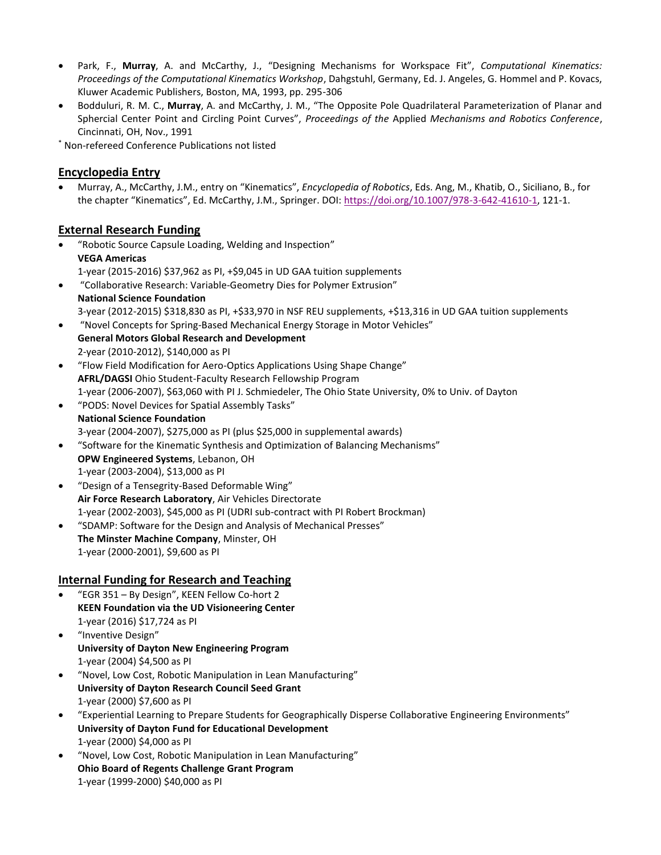- Park, F., **Murray**, A. and McCarthy, J., "Designing Mechanisms for Workspace Fit", *Computational Kinematics: Proceedings of the Computational Kinematics Workshop*, Dahgstuhl, Germany, Ed. J. Angeles, G. Hommel and P. Kovacs, Kluwer Academic Publishers, Boston, MA, 1993, pp. 295-306
- Bodduluri, R. M. C., **Murray**, A. and McCarthy, J. M., "The Opposite Pole Quadrilateral Parameterization of Planar and Sphercial Center Point and Circling Point Curves", *Proceedings of the* Applied *Mechanisms and Robotics Conference*, Cincinnati, OH, Nov., 1991

\* Non-refereed Conference Publications not listed

### **Encyclopedia Entry**

• Murray, A., McCarthy, J.M., entry on "Kinematics", *Encyclopedia of Robotics*, Eds. Ang, M., Khatib, O., Siciliano, B., for the chapter "Kinematics", Ed. McCarthy, J.M., Springer. DOI[: https://doi.org/10.1007/978-3-642-41610-1,](https://doi.org/10.1007/978-3-642-41610-1) 121-1.

### **External Research Funding**

- "Robotic Source Capsule Loading, Welding and Inspection" **VEGA Americas** 1-year (2015-2016) \$37,962 as PI, +\$9,045 in UD GAA tuition supplements
- "Collaborative Research: Variable-Geometry Dies for Polymer Extrusion" **National Science Foundation** 3-year (2012-2015) \$318,830 as PI, +\$33,970 in NSF REU supplements, +\$13,316 in UD GAA tuition supplements
- "Novel Concepts for Spring-Based Mechanical Energy Storage in Motor Vehicles" **General Motors Global Research and Development** 2-year (2010-2012), \$140,000 as PI
- "Flow Field Modification for Aero-Optics Applications Using Shape Change" **AFRL/DAGSI** Ohio Student-Faculty Research Fellowship Program 1-year (2006-2007), \$63,060 with PI J. Schmiedeler, The Ohio State University, 0% to Univ. of Dayton
- "PODS: Novel Devices for Spatial Assembly Tasks" **National Science Foundation** 3-year (2004-2007), \$275,000 as PI (plus \$25,000 in supplemental awards)
- "Software for the Kinematic Synthesis and Optimization of Balancing Mechanisms" **OPW Engineered Systems**, Lebanon, OH 1-year (2003-2004), \$13,000 as PI
- "Design of a Tensegrity-Based Deformable Wing" **Air Force Research Laboratory**, Air Vehicles Directorate 1-year (2002-2003), \$45,000 as PI (UDRI sub-contract with PI Robert Brockman)
- "SDAMP: Software for the Design and Analysis of Mechanical Presses" **The Minster Machine Company**, Minster, OH 1-year (2000-2001), \$9,600 as PI

## **Internal Funding for Research and Teaching**

- "EGR 351 By Design", KEEN Fellow Co-hort 2 **KEEN Foundation via the UD Visioneering Center** 1-year (2016) \$17,724 as PI
- "Inventive Design" **University of Dayton New Engineering Program** 1-year (2004) \$4,500 as PI
- "Novel, Low Cost, Robotic Manipulation in Lean Manufacturing" **University of Dayton Research Council Seed Grant** 1-year (2000) \$7,600 as PI
- "Experiential Learning to Prepare Students for Geographically Disperse Collaborative Engineering Environments" **University of Dayton Fund for Educational Development** 1-year (2000) \$4,000 as PI
- "Novel, Low Cost, Robotic Manipulation in Lean Manufacturing" **Ohio Board of Regents Challenge Grant Program** 1-year (1999-2000) \$40,000 as PI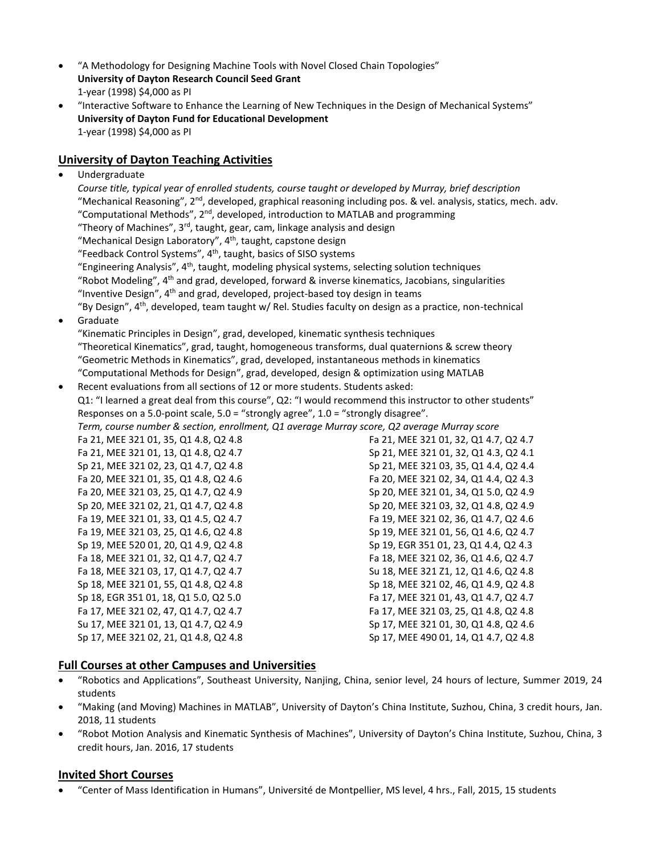- "A Methodology for Designing Machine Tools with Novel Closed Chain Topologies" **University of Dayton Research Council Seed Grant** 1-year (1998) \$4,000 as PI
- "Interactive Software to Enhance the Learning of New Techniques in the Design of Mechanical Systems" **University of Dayton Fund for Educational Development** 1-year (1998) \$4,000 as PI

## **University of Dayton Teaching Activities**

• Undergraduate *Course title, typical year of enrolled students, course taught or developed by Murray, brief description* "Mechanical Reasoning", 2<sup>nd</sup>, developed, graphical reasoning including pos. & vel. analysis, statics, mech. adv. "Computational Methods", 2<sup>nd</sup>, developed, introduction to MATLAB and programming "Theory of Machines",  $3^{rd}$ , taught, gear, cam, linkage analysis and design "Mechanical Design Laboratory", 4<sup>th</sup>, taught, capstone design "Feedback Control Systems", 4<sup>th</sup>, taught, basics of SISO systems "Engineering Analysis", 4<sup>th</sup>, taught, modeling physical systems, selecting solution techniques "Robot Modeling", 4<sup>th</sup> and grad, developed, forward & inverse kinematics, Jacobians, singularities "Inventive Design", 4<sup>th</sup> and grad, developed, project-based toy design in teams "By Design", 4th, developed, team taught w/ Rel. Studies faculty on design as a practice, non-technical **Graduate** "Kinematic Principles in Design", grad, developed, kinematic synthesis techniques "Theoretical Kinematics", grad, taught, homogeneous transforms, dual quaternions & screw theory "Geometric Methods in Kinematics", grad, developed, instantaneous methods in kinematics "Computational Methods for Design", grad, developed, design & optimization using MATLAB Recent evaluations from all sections of 12 or more students. Students asked: Q1: "I learned a great deal from this course", Q2: "I would recommend this instructor to other students" Responses on a 5.0-point scale, 5.0 = "strongly agree", 1.0 = "strongly disagree". *Term, course number & section, enrollment, Q1 average Murray score, Q2 average Murray score* Fa 21, MEE 321 01, 35, Q1 4.8, Q2 4.8 Fa 21, MEE 321 01, 32, Q1 4.7, Q2 4.7 Fa 21, MEE 321 01, 13, Q1 4.8, Q2 4.7 Sp 21, MEE 321 01, 32, Q1 4.3, Q2 4.1 Sp 21, MEE 321 02, 23, Q1 4.7, Q2 4.8 Sp 21, MEE 321 03, 35, Q1 4.4, Q2 4.4 Fa 20, MEE 321 01, 35, Q1 4.8, Q2 4.6 Fa 20, MEE 321 02, 34, Q1 4.4, Q2 4.3 Fa 20, MEE 321 03, 25, Q1 4.7, Q2 4.9 Sp 20, MEE 321 01, 34, Q1 5.0, Q2 4.9 Sp 20, MEE 321 02, 21, Q1 4.7, Q2 4.8 Sp 20, MEE 321 03, 32, Q1 4.8, Q2 4.9 Fa 19, MEE 321 01, 33, Q1 4.5, Q2 4.7 Fa 19, MEE 321 02, 36, Q1 4.7, Q2 4.6 Fa 19, MEE 321 03, 25, Q1 4.6, Q2 4.8 Sp 19, MEE 321 01, 56, Q1 4.6, Q2 4.7 Sp 19, MEE 520 01, 20, Q1 4.9, Q2 4.8 Sp 19, EGR 351 01, 23, Q1 4.4, Q2 4.3 Fa 18, MEE 321 01, 32, Q1 4.7, Q2 4.7 Fa 18, MEE 321 02, 36, Q1 4.6, Q2 4.7 Fa 18, MEE 321 03, 17, Q1 4.7, Q2 4.7 Su 18, MEE 321 Z1, 12, Q1 4.6, Q2 4.8 Sp 18, MEE 321 01, 55, Q1 4.8, Q2 4.8 Sp 18, MEE 321 02, 46, Q1 4.9, Q2 4.8 Sp 18, EGR 351 01, 18, Q1 5.0, Q2 5.0 Fa 17, MEE 321 01, 43, Q1 4.7, Q2 4.7 Fa 17, MEE 321 02, 47, Q1 4.7, Q2 4.7 Fa 17, MEE 321 03, 25, Q1 4.8, Q2 4.8 Su 17, MEE 321 01, 13, Q1 4.7, Q2 4.9 Sp 17, MEE 321 01, 30, Q1 4.8, Q2 4.6 Sp 17, MEE 321 02, 21, Q1 4.8, Q2 4.8 Sp 17, MEE 490 01, 14, Q1 4.7, Q2 4.8

### **Full Courses at other Campuses and Universities**

- "Robotics and Applications", Southeast University, Nanjing, China, senior level, 24 hours of lecture, Summer 2019, 24 students
- "Making (and Moving) Machines in MATLAB", University of Dayton's China Institute, Suzhou, China, 3 credit hours, Jan. 2018, 11 students
- "Robot Motion Analysis and Kinematic Synthesis of Machines", University of Dayton's China Institute, Suzhou, China, 3 credit hours, Jan. 2016, 17 students

### **Invited Short Courses**

• "Center of Mass Identification in Humans", Université de Montpellier, MS level, 4 hrs., Fall, 2015, 15 students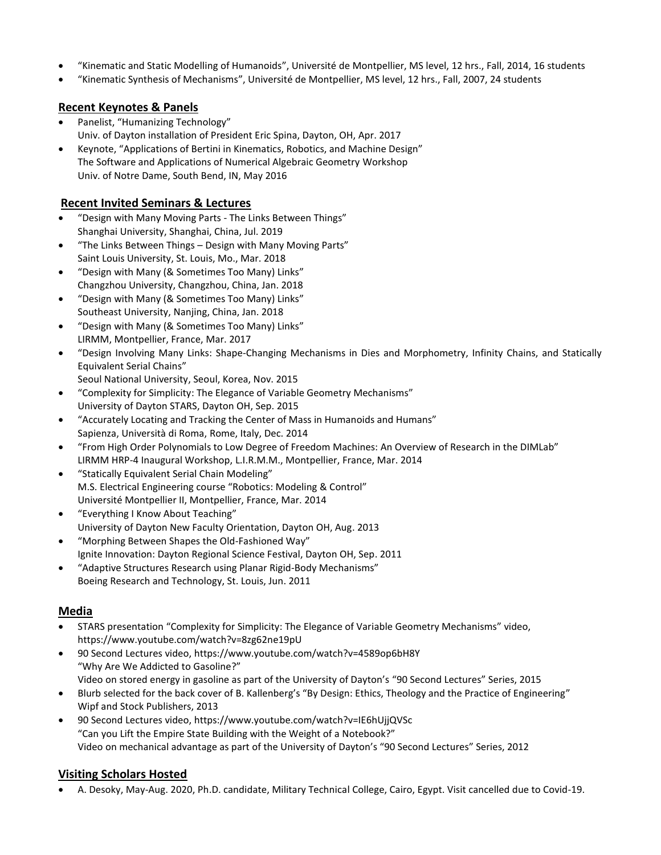- "Kinematic and Static Modelling of Humanoids", Université de Montpellier, MS level, 12 hrs., Fall, 2014, 16 students
- "Kinematic Synthesis of Mechanisms", Université de Montpellier, MS level, 12 hrs., Fall, 2007, 24 students

### **Recent Keynotes & Panels**

- Panelist, "Humanizing Technology" Univ. of Dayton installation of President Eric Spina, Dayton, OH, Apr. 2017
- Keynote, "Applications of Bertini in Kinematics, Robotics, and Machine Design" The Software and Applications of Numerical Algebraic Geometry Workshop Univ. of Notre Dame, South Bend, IN, May 2016

### **Recent Invited Seminars & Lectures**

- "Design with Many Moving Parts The Links Between Things" Shanghai University, Shanghai, China, Jul. 2019
- "The Links Between Things Design with Many Moving Parts" Saint Louis University, St. Louis, Mo., Mar. 2018
- "Design with Many (& Sometimes Too Many) Links" Changzhou University, Changzhou, China, Jan. 2018
- "Design with Many (& Sometimes Too Many) Links" Southeast University, Nanjing, China, Jan. 2018
- "Design with Many (& Sometimes Too Many) Links" LIRMM, Montpellier, France, Mar. 2017
- "Design Involving Many Links: Shape-Changing Mechanisms in Dies and Morphometry, Infinity Chains, and Statically Equivalent Serial Chains"
	- Seoul National University, Seoul, Korea, Nov. 2015
- "Complexity for Simplicity: The Elegance of Variable Geometry Mechanisms" University of Dayton STARS, Dayton OH, Sep. 2015
- "Accurately Locating and Tracking the Center of Mass in Humanoids and Humans" Sapienza, Università di Roma, Rome, Italy, Dec. 2014
- "From High Order Polynomials to Low Degree of Freedom Machines: An Overview of Research in the DIMLab" LIRMM HRP-4 Inaugural Workshop, L.I.R.M.M., Montpellier, France, Mar. 2014
- "Statically Equivalent Serial Chain Modeling" M.S. Electrical Engineering course "Robotics: Modeling & Control" Université Montpellier II, Montpellier, France, Mar. 2014
- "Everything I Know About Teaching" University of Dayton New Faculty Orientation, Dayton OH, Aug. 2013
- "Morphing Between Shapes the Old-Fashioned Way" Ignite Innovation: Dayton Regional Science Festival, Dayton OH, Sep. 2011
- "Adaptive Structures Research using Planar Rigid-Body Mechanisms" Boeing Research and Technology, St. Louis, Jun. 2011

## **Media**

- STARS presentation "Complexity for Simplicity: The Elegance of Variable Geometry Mechanisms" video, https://www.youtube.com/watch?v=8zg62ne19pU
- 90 Second Lectures video, https://www.youtube.com/watch?v=4589op6bH8Y "Why Are We Addicted to Gasoline?" Video on stored energy in gasoline as part of the University of Dayton's "90 Second Lectures" Series, 2015
- Blurb selected for the back cover of B. Kallenberg's "By Design: Ethics, Theology and the Practice of Engineering" Wipf and Stock Publishers, 2013
- 90 Second Lectures video, https://www.youtube.com/watch?v=IE6hUjjQVSc "Can you Lift the Empire State Building with the Weight of a Notebook?" Video on mechanical advantage as part of the University of Dayton's "90 Second Lectures" Series, 2012

## **Visiting Scholars Hosted**

• A. Desoky, May-Aug. 2020, Ph.D. candidate, Military Technical College, Cairo, Egypt. Visit cancelled due to Covid-19.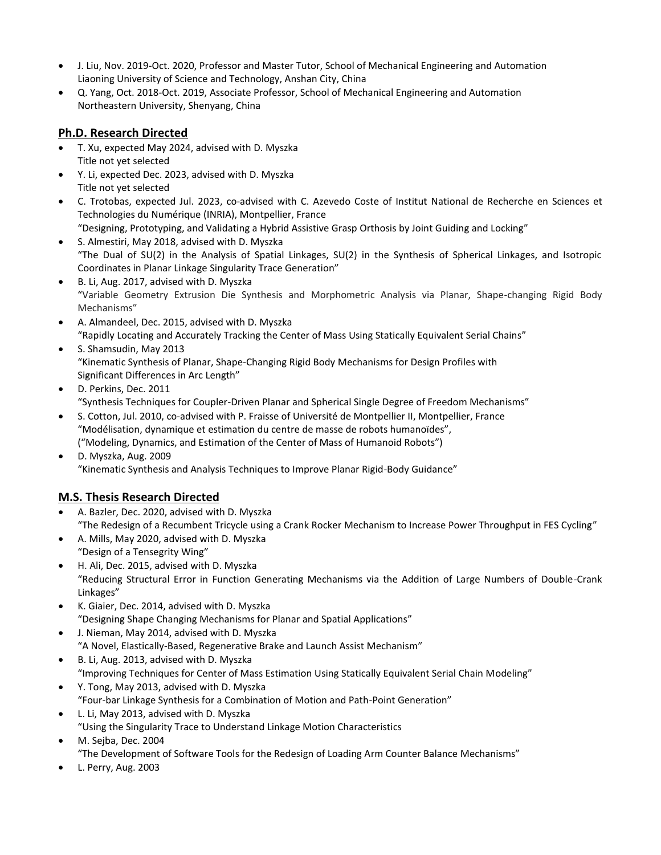- J. Liu, Nov. 2019-Oct. 2020, Professor and Master Tutor, School of Mechanical Engineering and Automation Liaoning University of Science and Technology, Anshan City, China
- Q. Yang, Oct. 2018-Oct. 2019, Associate Professor, School of Mechanical Engineering and Automation Northeastern University, Shenyang, China

# **Ph.D. Research Directed**

- T. Xu, expected May 2024, advised with D. Myszka Title not yet selected
- Y. Li, expected Dec. 2023, advised with D. Myszka Title not yet selected
- C. Trotobas, expected Jul. 2023, co-advised with C. Azevedo Coste of Institut National de Recherche en Sciences et Technologies du Numérique (INRIA), Montpellier, France "Designing, Prototyping, and Validating a Hybrid Assistive Grasp Orthosis by Joint Guiding and Locking"
- S. Almestiri, May 2018, advised with D. Myszka "The Dual of SU(2) in the Analysis of Spatial Linkages, SU(2) in the Synthesis of Spherical Linkages, and Isotropic Coordinates in Planar Linkage Singularity Trace Generation"
- B. Li, Aug. 2017, advised with D. Myszka "Variable Geometry Extrusion Die Synthesis and Morphometric Analysis via Planar, Shape-changing Rigid Body Mechanisms"
- A. Almandeel, Dec. 2015, advised with D. Myszka "Rapidly Locating and Accurately Tracking the Center of Mass Using Statically Equivalent Serial Chains"
- S. Shamsudin, May 2013 "Kinematic Synthesis of Planar, Shape-Changing Rigid Body Mechanisms for Design Profiles with Significant Differences in Arc Length"
- D. Perkins, Dec. 2011 "Synthesis Techniques for Coupler-Driven Planar and Spherical Single Degree of Freedom Mechanisms"
- S. Cotton, Jul. 2010, co-advised with P. Fraisse of Université de Montpellier II, Montpellier, France "Modélisation, dynamique et estimation du centre de masse de robots humanoïdes", ("Modeling, Dynamics, and Estimation of the Center of Mass of Humanoid Robots")
- D. Myszka, Aug. 2009 "Kinematic Synthesis and Analysis Techniques to Improve Planar Rigid-Body Guidance"

# **M.S. Thesis Research Directed**

- A. Bazler, Dec. 2020, advised with D. Myszka "The Redesign of a Recumbent Tricycle using a Crank Rocker Mechanism to Increase Power Throughput in FES Cycling"
- A. Mills, May 2020, advised with D. Myszka "Design of a Tensegrity Wing"
- H. Ali, Dec. 2015, advised with D. Myszka "Reducing Structural Error in Function Generating Mechanisms via the Addition of Large Numbers of Double-Crank Linkages"
- K. Giaier, Dec. 2014, advised with D. Myszka "Designing Shape Changing Mechanisms for Planar and Spatial Applications"
- J. Nieman, May 2014, advised with D. Myszka "A Novel, Elastically-Based, Regenerative Brake and Launch Assist Mechanism"
- B. Li, Aug. 2013, advised with D. Myszka "Improving Techniques for Center of Mass Estimation Using Statically Equivalent Serial Chain Modeling"
- Y. Tong, May 2013, advised with D. Myszka "Four-bar Linkage Synthesis for a Combination of Motion and Path-Point Generation"
- L. Li, May 2013, advised with D. Myszka "Using the Singularity Trace to Understand Linkage Motion Characteristics
- M. Sejba, Dec. 2004 "The Development of Software Tools for the Redesign of Loading Arm Counter Balance Mechanisms"
- L. Perry, Aug. 2003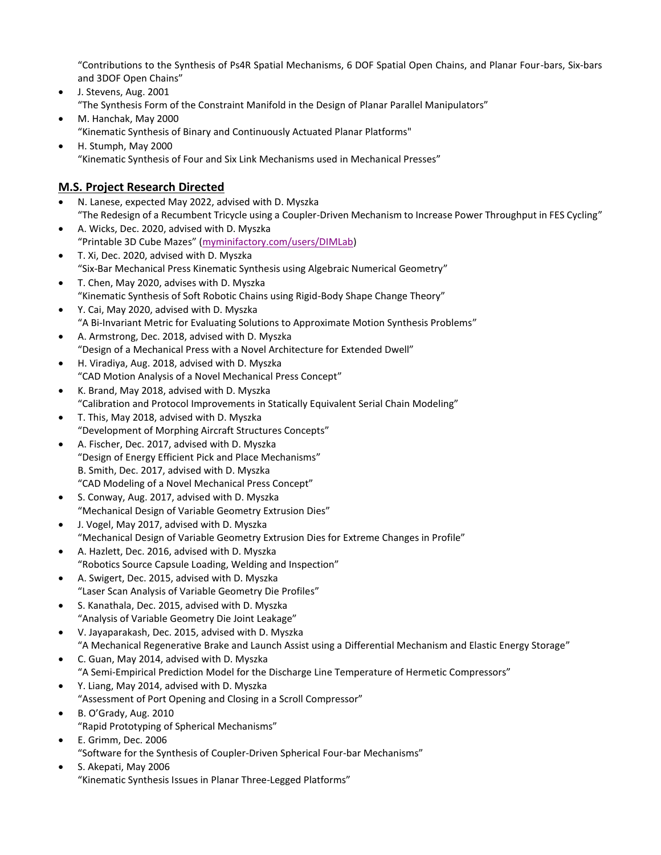"Contributions to the Synthesis of Ps4R Spatial Mechanisms, 6 DOF Spatial Open Chains, and Planar Four-bars, Six-bars and 3DOF Open Chains"

- J. Stevens, Aug. 2001 "The Synthesis Form of the Constraint Manifold in the Design of Planar Parallel Manipulators"
- M. Hanchak, May 2000 "Kinematic Synthesis of Binary and Continuously Actuated Planar Platforms"
- H. Stumph, May 2000 "Kinematic Synthesis of Four and Six Link Mechanisms used in Mechanical Presses"

# **M.S. Project Research Directed**

- N. Lanese, expected May 2022, advised with D. Myszka "The Redesign of a Recumbent Tricycle using a Coupler-Driven Mechanism to Increase Power Throughput in FES Cycling"
- A. Wicks, Dec. 2020, advised with D. Myszka "Printable 3D Cube Mazes" ([myminifactory.com/users/DIMLab\)](http://www.myminifactory.com/users/DIMLab)
- T. Xi, Dec. 2020, advised with D. Myszka "Six-Bar Mechanical Press Kinematic Synthesis using Algebraic Numerical Geometry"
- T. Chen, May 2020, advises with D. Myszka "Kinematic Synthesis of Soft Robotic Chains using Rigid-Body Shape Change Theory"
- Y. Cai, May 2020, advised with D. Myszka "A Bi-Invariant Metric for Evaluating Solutions to Approximate Motion Synthesis Problems"
- A. Armstrong, Dec. 2018, advised with D. Myszka "Design of a Mechanical Press with a Novel Architecture for Extended Dwell"
- H. Viradiya, Aug. 2018, advised with D. Myszka "CAD Motion Analysis of a Novel Mechanical Press Concept"
- K. Brand, May 2018, advised with D. Myszka "Calibration and Protocol Improvements in Statically Equivalent Serial Chain Modeling"
- T. This, May 2018, advised with D. Myszka "Development of Morphing Aircraft Structures Concepts" • A. Fischer, Dec. 2017, advised with D. Myszka
- "Design of Energy Efficient Pick and Place Mechanisms" B. Smith, Dec. 2017, advised with D. Myszka "CAD Modeling of a Novel Mechanical Press Concept"
- S. Conway, Aug. 2017, advised with D. Myszka "Mechanical Design of Variable Geometry Extrusion Dies"
- J. Vogel, May 2017, advised with D. Myszka "Mechanical Design of Variable Geometry Extrusion Dies for Extreme Changes in Profile"
- A. Hazlett, Dec. 2016, advised with D. Myszka "Robotics Source Capsule Loading, Welding and Inspection"
- A. Swigert, Dec. 2015, advised with D. Myszka "Laser Scan Analysis of Variable Geometry Die Profiles"
- S. Kanathala, Dec. 2015, advised with D. Myszka "Analysis of Variable Geometry Die Joint Leakage"
- V. Jayaparakash, Dec. 2015, advised with D. Myszka "A Mechanical Regenerative Brake and Launch Assist using a Differential Mechanism and Elastic Energy Storage"
- C. Guan, May 2014, advised with D. Myszka "A Semi-Empirical Prediction Model for the Discharge Line Temperature of Hermetic Compressors"
- Y. Liang, May 2014, advised with D. Myszka "Assessment of Port Opening and Closing in a Scroll Compressor"
- B. O'Grady, Aug. 2010 "Rapid Prototyping of Spherical Mechanisms"
- E. Grimm, Dec. 2006 "Software for the Synthesis of Coupler-Driven Spherical Four-bar Mechanisms"
- S. Akepati, May 2006 "Kinematic Synthesis Issues in Planar Three-Legged Platforms"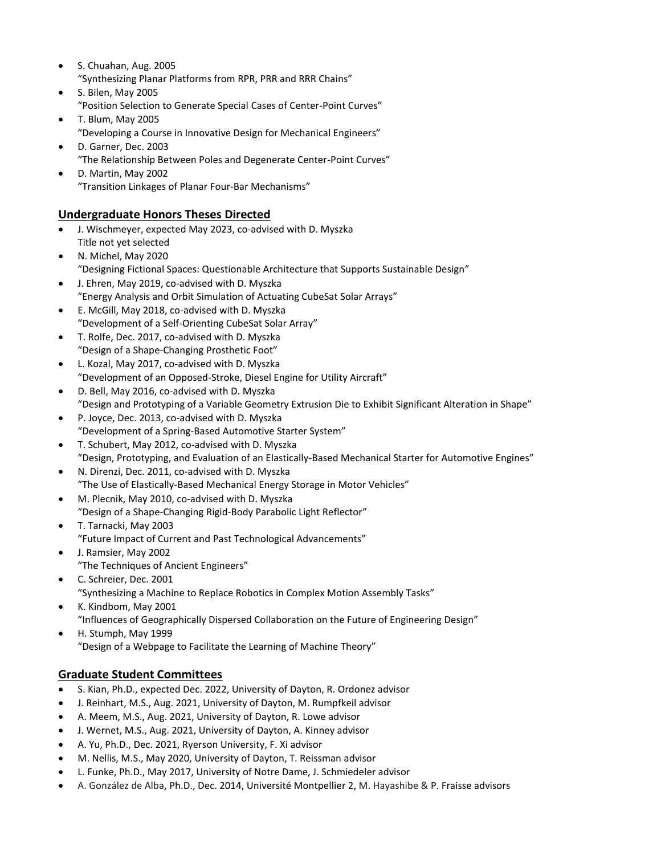- S. Chuahan, Aug. 2005 "Synthesizing Planar Platforms from RPR, PRR and RRR Chains"
- S. Bilen, May 2005 "Position Selection to Generate Special Cases of Center-Point Curves"
- T. Blum, May 2005 "Developing a Course in Innovative Design for Mechanical Engineers"
- D. Garner, Dec. 2003 "The Relationship Between Poles and Degenerate Center-Point Curves"
- D. Martin, May 2002 "Transition Linkages of Planar Four-Bar Mechanisms"

# **Undergraduate Honors Theses Directed**

- J. Wischmeyer, expected May 2023, co-advised with D. Myszka Title not yet selected
- N. Michel, May 2020 "Designing Fictional Spaces: Questionable Architecture that Supports Sustainable Design"
- J. Ehren, May 2019, co-advised with D. Myszka "Energy Analysis and Orbit Simulation of Actuating CubeSat Solar Arrays"
- E. McGill, May 2018, co-advised with D. Myszka "Development of a Self-Orienting CubeSat Solar Array"
- T. Rolfe, Dec. 2017, co-advised with D. Myszka "Design of a Shape-Changing Prosthetic Foot"
- L. Kozal, May 2017, co-advised with D. Myszka "Development of an Opposed-Stroke, Diesel Engine for Utility Aircraft"
- D. Bell, May 2016, co-advised with D. Myszka "Design and Prototyping of a Variable Geometry Extrusion Die to Exhibit Significant Alteration in Shape"
- P. Joyce, Dec. 2013, co-advised with D. Myszka "Development of a Spring-Based Automotive Starter System"
- T. Schubert, May 2012, co-advised with D. Myszka "Design, Prototyping, and Evaluation of an Elastically-Based Mechanical Starter for Automotive Engines"
- N. Direnzi, Dec. 2011, co-advised with D. Myszka "The Use of Elastically-Based Mechanical Energy Storage in Motor Vehicles"
- M. Plecnik, May 2010, co-advised with D. Myszka "Design of a Shape-Changing Rigid-Body Parabolic Light Reflector"
- T. Tarnacki, May 2003 "Future Impact of Current and Past Technological Advancements"
- J. Ramsier, May 2002 "The Techniques of Ancient Engineers"
- C. Schreier, Dec. 2001 "Synthesizing a Machine to Replace Robotics in Complex Motion Assembly Tasks"
- K. Kindbom, May 2001 "Influences of Geographically Dispersed Collaboration on the Future of Engineering Design"
- H. Stumph, May 1999 "Design of a Webpage to Facilitate the Learning of Machine Theory"

# **Graduate Student Committees**

- S. Kian, Ph.D., expected Dec. 2022, University of Dayton, R. Ordonez advisor
- J. Reinhart, M.S., Aug. 2021, University of Dayton, M. Rumpfkeil advisor
- A. Meem, M.S., Aug. 2021, University of Dayton, R. Lowe advisor
- J. Wernet, M.S., Aug. 2021, University of Dayton, A. Kinney advisor
- A. Yu, Ph.D., Dec. 2021, Ryerson University, F. Xi advisor
- M. Nellis, M.S., May 2020, University of Dayton, T. Reissman advisor
- L. Funke, Ph.D., May 2017, University of Notre Dame, J. Schmiedeler advisor
- A. González de Alba, Ph.D., Dec. 2014, Université Montpellier 2, M. Hayashibe & P. Fraisse advisors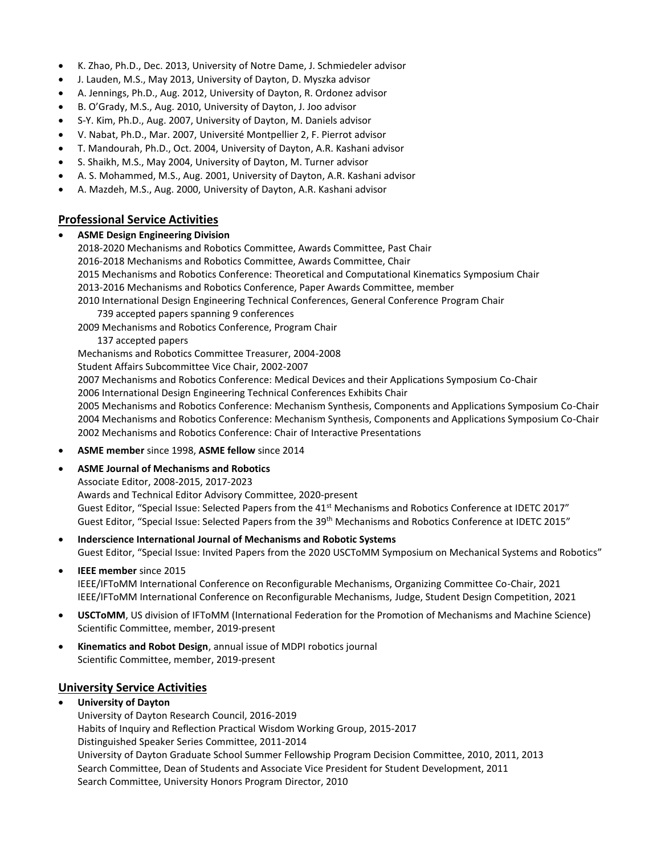- K. Zhao, Ph.D., Dec. 2013, University of Notre Dame, J. Schmiedeler advisor
- J. Lauden, M.S., May 2013, University of Dayton, D. Myszka advisor
- A. Jennings, Ph.D., Aug. 2012, University of Dayton, R. Ordonez advisor
- B. O'Grady, M.S., Aug. 2010, University of Dayton, J. Joo advisor
- S-Y. Kim, Ph.D., Aug. 2007, University of Dayton, M. Daniels advisor
- V. Nabat, Ph.D., Mar. 2007, Université Montpellier 2, F. Pierrot advisor
- T. Mandourah, Ph.D., Oct. 2004, University of Dayton, A.R. Kashani advisor
- S. Shaikh, M.S., May 2004, University of Dayton, M. Turner advisor
- A. S. Mohammed, M.S., Aug. 2001, University of Dayton, A.R. Kashani advisor
- A. Mazdeh, M.S., Aug. 2000, University of Dayton, A.R. Kashani advisor

### **Professional Service Activities**

#### • **ASME Design Engineering Division**

2018-2020 Mechanisms and Robotics Committee, Awards Committee, Past Chair 2016-2018 Mechanisms and Robotics Committee, Awards Committee, Chair 2015 Mechanisms and Robotics Conference: Theoretical and Computational Kinematics Symposium Chair 2013-2016 Mechanisms and Robotics Conference, Paper Awards Committee, member 2010 International Design Engineering Technical Conferences, General Conference Program Chair 739 accepted papers spanning 9 conferences

2009 Mechanisms and Robotics Conference, Program Chair

137 accepted papers

Mechanisms and Robotics Committee Treasurer, 2004-2008

Student Affairs Subcommittee Vice Chair, 2002-2007

2007 Mechanisms and Robotics Conference: Medical Devices and their Applications Symposium Co-Chair

2006 International Design Engineering Technical Conferences Exhibits Chair

2005 Mechanisms and Robotics Conference: Mechanism Synthesis, Components and Applications Symposium Co-Chair 2004 Mechanisms and Robotics Conference: Mechanism Synthesis, Components and Applications Symposium Co-Chair 2002 Mechanisms and Robotics Conference: Chair of Interactive Presentations

• **ASME member** since 1998, **ASME fellow** since 2014

#### • **ASME Journal of Mechanisms and Robotics**

Associate Editor, 2008-2015, 2017-2023

Awards and Technical Editor Advisory Committee, 2020-present

Guest Editor, "Special Issue: Selected Papers from the 41<sup>st</sup> Mechanisms and Robotics Conference at IDETC 2017" Guest Editor, "Special Issue: Selected Papers from the 39th Mechanisms and Robotics Conference at IDETC 2015"

- **Inderscience International Journal of Mechanisms and Robotic Systems** Guest Editor, "Special Issue: Invited Papers from the 2020 USCToMM Symposium on Mechanical Systems and Robotics"
- **IEEE member** since 2015 IEEE/IFToMM International Conference on Reconfigurable Mechanisms, Organizing Committee Co-Chair, 2021 IEEE/IFToMM International Conference on Reconfigurable Mechanisms, Judge, Student Design Competition, 2021
- **USCToMM**, US division of IFToMM (International Federation for the Promotion of Mechanisms and Machine Science) Scientific Committee, member, 2019-present
- **Kinematics and Robot Design**, annual issue of MDPI robotics journal Scientific Committee, member, 2019-present

## **University Service Activities**

• **University of Dayton** University of Dayton Research Council, 2016-2019 Habits of Inquiry and Reflection Practical Wisdom Working Group, 2015-2017 Distinguished Speaker Series Committee, 2011-2014 University of Dayton Graduate School Summer Fellowship Program Decision Committee, 2010, 2011, 2013 Search Committee, Dean of Students and Associate Vice President for Student Development, 2011 Search Committee, University Honors Program Director, 2010